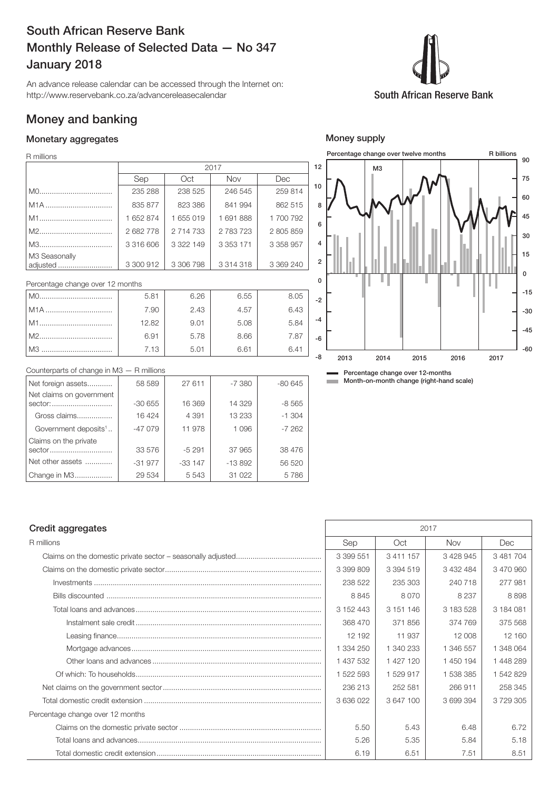# South African Reserve Bank Monthly Release of Selected Data — No 347 January 2018

An advance release calendar can be accessed through the Internet on: http://www.reservebank.co.za/advancereleasecalendar

## Money and banking

#### Monetary aggregates

R millions

|                                       |           |           | 2017          |               |
|---------------------------------------|-----------|-----------|---------------|---------------|
|                                       | Sep       | Oct       | <b>Nov</b>    | Dec           |
|                                       | 235 288   | 238 525   | 246 545       | 259 814       |
| M <sub>1</sub> A                      | 835 877   | 823 386   | 841 994       | 862 515       |
|                                       | 1 652 874 | 1655019   | 1691888       | 1 700 792     |
|                                       | 2682778   | 2 714 733 | 2 783 723     | 2 805 859     |
|                                       | 3 316 606 | 3 322 149 | 3 3 5 3 1 7 1 | 3 3 5 8 9 5 7 |
| M <sub>3</sub> Seasonally<br>adjusted | 3 300 912 | 3 306 798 | 3 3 1 4 3 1 8 | 3 369 240     |

Percentage change over 12 months

| $MO$ . | 5.81  | 6.26 | 6.55 | 8.05 |
|--------|-------|------|------|------|
| I M1A  | 7.90  | 2.43 | 4.57 | 6.43 |
| l M1.  | 12.82 | 9.01 | 5.08 | 5.84 |
|        | 6.91  | 5.78 | 8.66 | 7.87 |
| l M3   | 7.13  | 5.01 | 6.61 | 6.41 |



#### Counterparts of change in M3 — R millions

| Net foreign assets                  | 58 589   | 27 611   | $-7380$  | $-80645$ |
|-------------------------------------|----------|----------|----------|----------|
| Net claims on government<br>sector: | $-30655$ | 16 369   | 14 329   | $-8565$  |
| Gross claims                        | 16424    | 4 3 9 1  | 13 2 3 3 | $-1.304$ |
| Government deposits <sup>1</sup>    | $-47079$ | 11 978   | 1 0 9 6  | $-7262$  |
| Claims on the private<br>sector     | 33 576   | $-5291$  | 37 965   | 38 476   |
| Net other assets                    | $-31977$ | $-33147$ | $-13892$ | 56 520   |
| Change in M3                        | 29 534   | 5 5 4 3  | 31 0 22  | 5786     |

Percentage change over 12-months **Month-on-month change (right-hand scale)** 

# R millions Sep (Sep ) Oct | Nov | Dec

|                                  | 3 399 551 | 3 4 1 1 1 5 7 | 3 428 945 | 3 481 704 |
|----------------------------------|-----------|---------------|-----------|-----------|
|                                  | 3 399 809 | 3 394 519     | 3 432 484 | 3 470 960 |
|                                  | 238 522   | 235 303       | 240 718   | 277 981   |
|                                  | 8845      | 8070          | 8 2 3 7   | 8898      |
|                                  | 3 152 443 | 3 151 146     | 3 183 528 | 3 184 081 |
|                                  | 368 470   | 371856        | 374 769   | 375 568   |
|                                  | 12 192    | 11 937        | 12 008    | 12 160    |
|                                  | 1 334 250 | 1 340 233     | 1 346 557 | 1 348 064 |
|                                  | 1 437 532 | 1 427 120     | 1 450 194 | 1448289   |
|                                  | 1 522 593 | 1529917       | 1 538 385 | 1 542 829 |
|                                  | 236 213   | 252 581       | 266 911   | 258 345   |
|                                  | 3 636 022 | 3 647 100     | 3699394   | 3729305   |
| Percentage change over 12 months |           |               |           |           |
|                                  | 5.50      | 5.43          | 6.48      | 6.72      |
|                                  | 5.26      | 5.35          | 5.84      | 5.18      |
|                                  | 6.19      | 6.51          | 7.51      | 8.51      |
|                                  |           |               |           |           |

Credit aggregates 2017

### Money supply

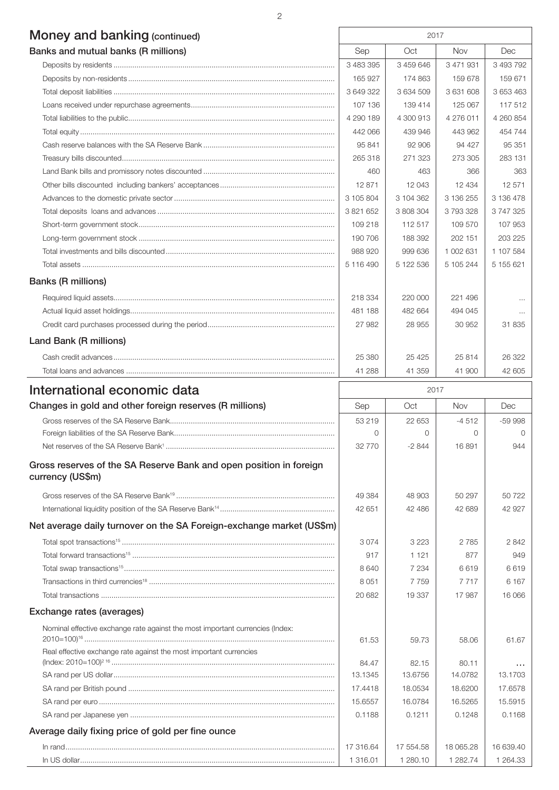# Money and banking (continued) 2017

| Banks and mutual banks (R millions) | Sep       | Oct       | <b>Nov</b> | Dec       |
|-------------------------------------|-----------|-----------|------------|-----------|
|                                     | 3 483 395 | 3 459 646 | 3 471 931  | 3 493 792 |
|                                     | 165 927   | 174 863   | 159 678    | 159 671   |
|                                     | 3 649 322 | 3 634 509 | 3631608    | 3 653 463 |
|                                     | 107 136   | 139 414   | 125 067    | 117512    |
|                                     | 4 290 189 | 4 300 913 | 4 276 011  | 4 260 854 |
|                                     | 442 066   | 439 946   | 443 962    | 454 744   |
|                                     | 95 841    | 92 906    | 94 427     | 95 351    |
|                                     | 265 318   | 271 323   | 273 305    | 283 131   |
|                                     | 460       | 463       | 366        | 363       |
|                                     | 12 871    | 12 043    | 12 4 34    | 12 571    |
|                                     | 3 105 804 | 3 104 362 | 3 136 255  | 3 136 478 |
|                                     | 3 821 652 | 3 808 304 | 3793328    | 3747325   |
|                                     | 109 218   | 112 517   | 109 570    | 107 953   |
|                                     | 190 706   | 188 392   | 202 151    | 203 225   |
|                                     | 988 920   | 999 636   | 1 002 631  | 1 107 584 |
|                                     | 5 116 490 | 5 122 536 | 5 105 244  | 5 155 621 |
| <b>Banks (R millions)</b>           |           |           |            |           |
|                                     | 218 334   | 220,000   | 221 496    | $\cdots$  |
|                                     | 481 188   | 482 664   | 494 045    | $\cdots$  |
|                                     | 27 982    | 28 955    | 30 952     | 31835     |
| Land Bank (R millions)              |           |           |            |           |
|                                     | 25 380    | 25 4 25   | 25814      | 26 322    |
|                                     | 41 288    | 41 359    | 41 900     | 42 605    |

| International economic data                                                            | 2017      |           |           |               |
|----------------------------------------------------------------------------------------|-----------|-----------|-----------|---------------|
| Changes in gold and other foreign reserves (R millions)                                | Sep       | Oct       | Nov       | Dec           |
|                                                                                        | 53 219    | 22 653    | $-4512$   | $-59998$      |
|                                                                                        | $\Omega$  | $\Omega$  | $\Omega$  | $\Omega$      |
|                                                                                        | 32 770    | $-2844$   | 16891     | 944           |
| Gross reserves of the SA Reserve Bank and open position in foreign<br>currency (US\$m) |           |           |           |               |
|                                                                                        | 49 384    | 48 903    | 50 297    | 50722         |
|                                                                                        | 42 651    | 42 486    | 42 689    | 42 927        |
| Net average daily turnover on the SA Foreign-exchange market (US\$m)                   |           |           |           |               |
|                                                                                        | 3074      | 3 2 2 3   | 2785      | 2842          |
|                                                                                        | 917       | 1 1 2 1   | 877       | 949           |
|                                                                                        | 8 6 4 0   | 7 2 3 4   | 6619      | 6619          |
|                                                                                        | 8 0 5 1   | 7759      | 7 7 1 7   | 6 1 6 7       |
|                                                                                        | 20 682    | 19 3 37   | 17987     | 16 066        |
| Exchange rates (averages)                                                              |           |           |           |               |
| Nominal effective exchange rate against the most important currencies (Index:          |           |           |           |               |
|                                                                                        | 61.53     | 59.73     | 58.06     | 61.67         |
| Real effective exchange rate against the most important currencies                     |           |           |           |               |
|                                                                                        | 84.47     | 82.15     | 80.11     | $\sim$ $\sim$ |
|                                                                                        | 13.1345   | 13.6756   | 14.0782   | 13.1703       |
|                                                                                        | 17.4418   | 18.0534   | 18.6200   | 17.6578       |
|                                                                                        | 15.6557   | 16.0784   | 16.5265   | 15.5915       |
|                                                                                        | 0.1188    | 0.1211    | 0.1248    | 0.1168        |
| Average daily fixing price of gold per fine ounce                                      |           |           |           |               |
|                                                                                        | 17 316.64 | 17 554.58 | 18 065.28 | 16 639.40     |
|                                                                                        | 1 316.01  | 1 280.10  | 1 282.74  | 1 264.33      |

2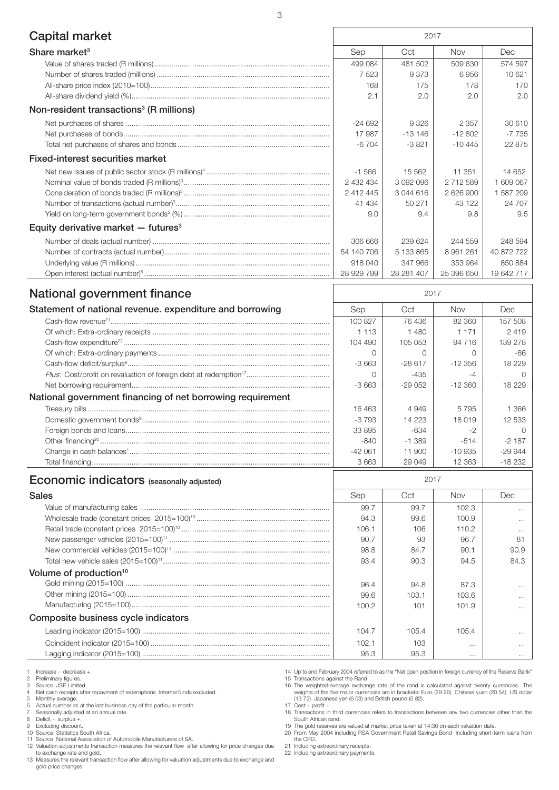| <b>Capital market</b>                                    | 2017       |            |            |            |
|----------------------------------------------------------|------------|------------|------------|------------|
| Share market <sup>3</sup>                                | Sep        | Oct        | Nov        | Dec        |
|                                                          | 499 084    | 481 502    | 509 630    | 574 597    |
|                                                          | 7523       | 9373       | 6956       | 10 621     |
|                                                          | 168        | 175        | 178        | 170        |
|                                                          | 2.1        | 2.0        | 2.0        | 2.0        |
| Non-resident transactions <sup>3</sup> (R millions)      |            |            |            |            |
|                                                          | $-24692$   | 9 3 2 6    | 2 3 5 7    | 30 610     |
|                                                          | 17987      | $-13146$   | $-12802$   | $-7735$    |
|                                                          | $-6704$    | $-3821$    | $-10.445$  | 22 875     |
| <b>Fixed-interest securities market</b>                  |            |            |            |            |
|                                                          | $-1.566$   | 15 5 6 2   | 11 351     | 14 652     |
|                                                          | 2 432 434  | 3 092 096  | 2 712 589  | 1 609 067  |
|                                                          | 2 412 445  | 3 044 616  | 2 626 900  | 1587209    |
|                                                          | 41 4 34    | 50 271     | 43 122     | 24 707     |
|                                                          | 9.0        | 9.4        | 9.8        | 9.5        |
| Equity derivative market $-$ futures <sup>3</sup>        |            |            |            |            |
|                                                          | 306 666    | 239 624    | 244 559    | 248 594    |
|                                                          | 54 140 706 | 5 133 865  | 8 961 261  | 40 872 722 |
|                                                          | 918 040    | 347 966    | 353 964    | 850 884    |
|                                                          | 28 929 799 | 28 281 407 | 25 396 650 | 19 642 717 |
| National government finance                              |            | 2017       |            |            |
| Statement of national revenue. expenditure and borrowing | Sep        | Oct        | Nov        | Dec        |
|                                                          | 100827     | 76436      | 82 360     | 157 508    |
|                                                          | 1 1 1 3    | 1480       | 1 1 7 1    | 2419       |

|                                                            | .        | 1 TUU     | .         | 271      |
|------------------------------------------------------------|----------|-----------|-----------|----------|
|                                                            | 104 490  | 105 053   | 94 716    | 139 278  |
|                                                            |          |           |           | -66      |
|                                                            | $-3663$  | $-28617$  | $-12.356$ | 18 229   |
|                                                            |          | $-435$    |           |          |
|                                                            | $-3663$  | $-29.052$ | $-12.360$ | 18 229   |
| National government financing of net borrowing requirement |          |           |           |          |
|                                                            | 16463    | 4 9 4 9   | 5795      | -366     |
|                                                            | $-3793$  | 14 2 2 3  | 18019     | 12 533   |
|                                                            | 33 895   | $-634$    |           |          |
|                                                            | -840     | $-1.389$  | $-514$    | $-2187$  |
|                                                            | $-42061$ | 11 900    | $-10.935$ | $-29944$ |
|                                                            | 3663     | 29 049    | 12 3 63   | $-18232$ |
| <b>Economic indicators</b> (seasonally adjusted)           |          | 2017      |           |          |

| <b>EUVITURE INTERVALUE RESERVANCES</b> |       |       |          |          |
|----------------------------------------|-------|-------|----------|----------|
| <b>Sales</b>                           | Sep   | Oct   | Nov      | Dec      |
|                                        | 99.7  | 99.7  | 102.3    | $\cdots$ |
|                                        | 94.3  | 99.6  | 100.9    | $\cdots$ |
|                                        | 106.1 | 106   | 110.2    | $\cdots$ |
|                                        | 90.7  | 93    | 96.7     | 81       |
|                                        | 98.8  | 84.7  | 90.1     | 90.9     |
|                                        | 93.4  | 90.3  | 94.5     | 84.3     |
| Volume of production <sup>10</sup>     |       |       |          |          |
|                                        | 96.4  | 94.8  | 87.3     | $\cdots$ |
|                                        | 99.6  | 103.1 | 103.6    | $\cdots$ |
|                                        | 100.2 | 101   | 101.9    | $\cdots$ |
| Composite business cycle indicators    |       |       |          |          |
|                                        | 104.7 | 105.4 | 105.4    | $\cdots$ |
|                                        | 102.1 | 103   | $\cdots$ | $\cdots$ |
|                                        | 95.3  | 95.3  | $\cdots$ | $\cdots$ |

1 Increase - decrease +.<br>
2 Preliminary figures.<br>
3 Source: JSE Limited.

2 Preliminary figures. 3 Source: JSE Limited.

4 Net cash receipts after repayment of redemptions Internal funds excluded. 5 Monthly average. 6 Actual number as at the last business day of the particular month.

7 Seasonally adjusted at an annual rate. 8 Deficit - surplus +.

9 Excluding discount. 10 Source: Statistics South Africa.

11 Source: National Association of Automobile Manufacturers of SA.

12 Valuation adjustments transaction measures the relevant flow after allowing for price changes due to exchange rate and gold.

13 Measures the relevant transaction flow after allowing for valuation adjustments due to exchange and gold price changes.

14 Up to end February 2004 referred to as the "Net open position in foreign currency of the Reserve Bank"

15 Transactions against the Rand.<br>16 The weighted-average exchange rate of the rand is calculated against twenty currencies The<br>weights of the five major currencies are in brackets: Euro (29 26) Chinese yuan (20 54) US dol 17 Cost - profit +.

18 Transactions in third currencies refers to transactions between any two currencies other than the South African rand.

19 The gold reserves are valued at market price taken at 14:30 on each valuation date. 20 From May 2004 including RSA Government Retail Savings Bond Including short-term loans from the CPD.

21 Including extraordinary receipts. 22 Including extraordinary payments.

3